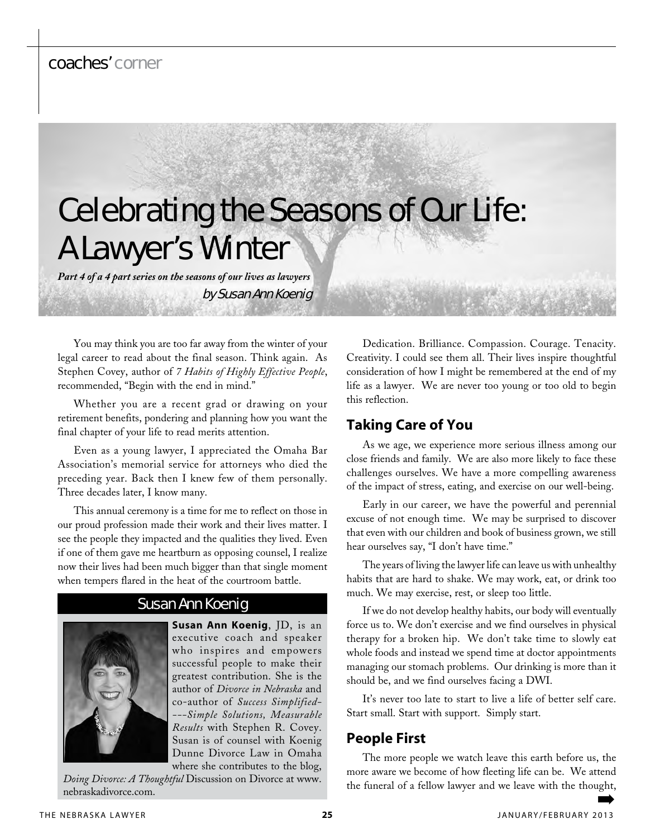## coaches' corner

# Celebrating the Seasons of Our Life: A Lawyer's Winter

*Part 4 of a 4 part series on the seasons of our lives as lawyers*

by Susan Ann Koenig

You may think you are too far away from the winter of your legal career to read about the final season. Think again. As Stephen Covey, author of *7 Habits of Highly Effective People*, recommended, "Begin with the end in mind."

Whether you are a recent grad or drawing on your retirement benefits, pondering and planning how you want the final chapter of your life to read merits attention.

Even as a young lawyer, I appreciated the Omaha Bar Association's memorial service for attorneys who died the preceding year. Back then I knew few of them personally. Three decades later, I know many.

This annual ceremony is a time for me to reflect on those in our proud profession made their work and their lives matter. I see the people they impacted and the qualities they lived. Even if one of them gave me heartburn as opposing counsel, I realize now their lives had been much bigger than that single moment when tempers flared in the heat of the courtroom battle.

### Susan Ann Koenig

**Susan Ann Koenig**, JD, is an executive coach and speaker who inspires and empowers successful people to make their greatest contribution. She is the author of *Divorce in Nebraska* and co-author of *Success Simplified- ---Simple Solutions, Measurable Results* with Stephen R. Covey. Susan is of counsel with Koenig Dunne Divorce Law in Omaha where she contributes to the blog,

*Doing Divorce: A Thoughtful* Discussion on Divorce at www. nebraskadivorce.com.

Dedication. Brilliance. Compassion. Courage. Tenacity. Creativity. I could see them all. Their lives inspire thoughtful consideration of how I might be remembered at the end of my life as a lawyer. We are never too young or too old to begin this reflection.

## **Taking Care of You**

As we age, we experience more serious illness among our close friends and family. We are also more likely to face these challenges ourselves. We have a more compelling awareness of the impact of stress, eating, and exercise on our well-being.

Early in our career, we have the powerful and perennial excuse of not enough time. We may be surprised to discover that even with our children and book of business grown, we still hear ourselves say, "I don't have time."

The years of living the lawyer life can leave us with unhealthy habits that are hard to shake. We may work, eat, or drink too much. We may exercise, rest, or sleep too little.

If we do not develop healthy habits, our body will eventually force us to. We don't exercise and we find ourselves in physical therapy for a broken hip. We don't take time to slowly eat whole foods and instead we spend time at doctor appointments managing our stomach problems. Our drinking is more than it should be, and we find ourselves facing a DWI.

It's never too late to start to live a life of better self care. Start small. Start with support. Simply start.

## **People First**

The more people we watch leave this earth before us, the more aware we become of how fleeting life can be. We attend the funeral of a fellow lawyer and we leave with the thought,

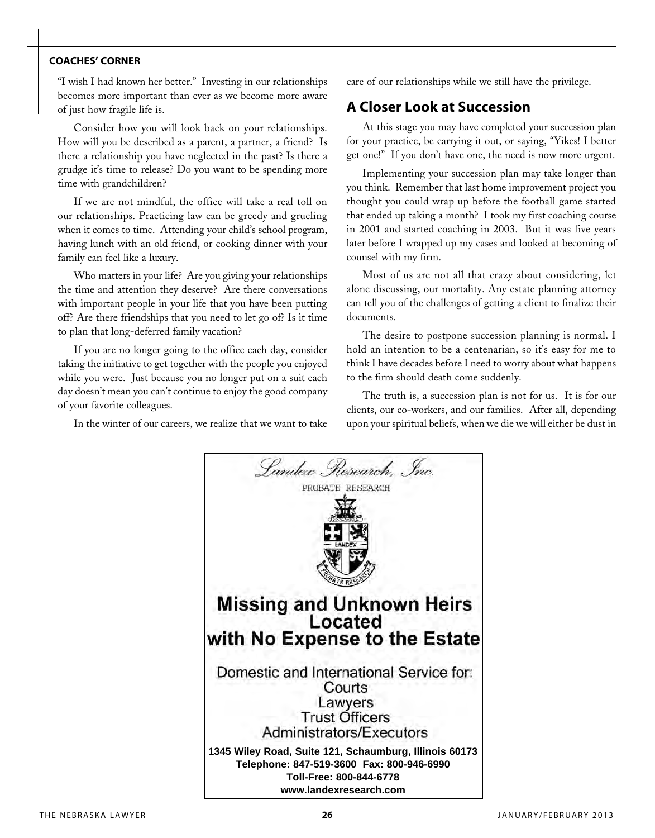#### **coaches' corner**

"I wish I had known her better." Investing in our relationships becomes more important than ever as we become more aware of just how fragile life is.

Consider how you will look back on your relationships. How will you be described as a parent, a partner, a friend? Is there a relationship you have neglected in the past? Is there a grudge it's time to release? Do you want to be spending more time with grandchildren?

If we are not mindful, the office will take a real toll on our relationships. Practicing law can be greedy and grueling when it comes to time. Attending your child's school program, having lunch with an old friend, or cooking dinner with your family can feel like a luxury.

Who matters in your life? Are you giving your relationships the time and attention they deserve? Are there conversations with important people in your life that you have been putting off? Are there friendships that you need to let go of? Is it time to plan that long-deferred family vacation?

If you are no longer going to the office each day, consider taking the initiative to get together with the people you enjoyed while you were. Just because you no longer put on a suit each day doesn't mean you can't continue to enjoy the good company of your favorite colleagues.

In the winter of our careers, we realize that we want to take

care of our relationships while we still have the privilege.

## **A Closer Look at Succession**

At this stage you may have completed your succession plan for your practice, be carrying it out, or saying, "Yikes! I better get one!" If you don't have one, the need is now more urgent.

Implementing your succession plan may take longer than you think. Remember that last home improvement project you thought you could wrap up before the football game started that ended up taking a month? I took my first coaching course in 2001 and started coaching in 2003. But it was five years later before I wrapped up my cases and looked at becoming of counsel with my firm.

Most of us are not all that crazy about considering, let alone discussing, our mortality. Any estate planning attorney can tell you of the challenges of getting a client to finalize their documents.

The desire to postpone succession planning is normal. I hold an intention to be a centenarian, so it's easy for me to think I have decades before I need to worry about what happens to the firm should death come suddenly.

The truth is, a succession plan is not for us. It is for our clients, our co-workers, and our families. After all, depending upon your spiritual beliefs, when we die we will either be dust in